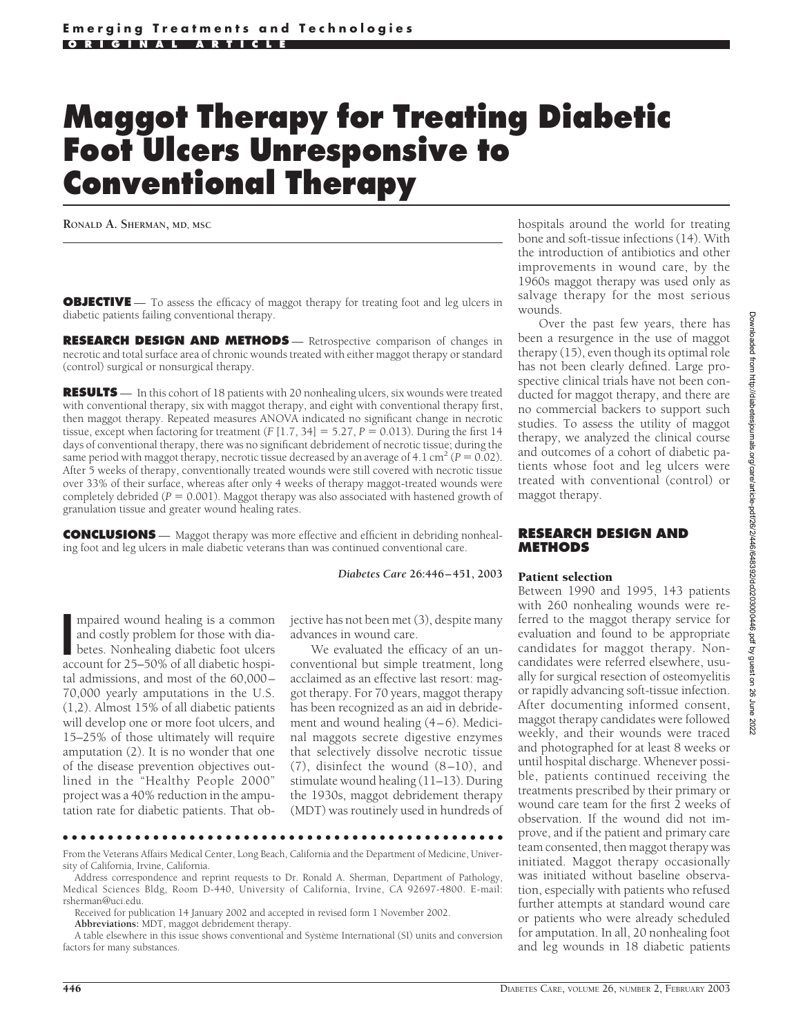# **Maggot Therapy for Treating Diabetic Foot Ulcers Unresponsive to Conventional Therapy**

**RONALD A. SHERMAN, MD, MSC**

**OBJECTIVE** — To assess the efficacy of maggot therapy for treating foot and leg ulcers in diabetic patients failing conventional therapy.

**RESEARCH DESIGN AND METHODS** — Retrospective comparison of changes in necrotic and total surface area of chronic wounds treated with either maggot therapy or standard (control) surgical or nonsurgical therapy.

**RESULTS** — In this cohort of 18 patients with 20 nonhealing ulcers, six wounds were treated with conventional therapy, six with maggot therapy, and eight with conventional therapy first, then maggot therapy. Repeated measures ANOVA indicated no significant change in necrotic tissue, except when factoring for treatment  $(F[1.7, 34] = 5.27, P = 0.013)$ . During the first 14 days of conventional therapy, there was no significant debridement of necrotic tissue; during the same period with maggot therapy, necrotic tissue decreased by an average of 4.1 cm<sup>2</sup> ( $P = 0.02$ ). After 5 weeks of therapy, conventionally treated wounds were still covered with necrotic tissue over 33% of their surface, whereas after only 4 weeks of therapy maggot-treated wounds were completely debrided  $(P = 0.001)$ . Maggot therapy was also associated with hastened growth of granulation tissue and greater wound healing rates.

**CONCLUSIONS** — Maggot therapy was more effective and efficient in debriding nonhealing foot and leg ulcers in male diabetic veterans than was continued conventional care.

*Diabetes Care* **26:446–451, 2003**

mpaired wound healing is a common<br>and costly problem for those with dia-<br>betes. Nonhealing diabetic foot ulcers<br>account for 25–50% of all diabetic hospimpaired wound healing is a common and costly problem for those with diabetes. Nonhealing diabetic foot ulcers tal admissions, and most of the 60,000– 70,000 yearly amputations in the U.S. (1,2). Almost 15% of all diabetic patients will develop one or more foot ulcers, and 15–25% of those ultimately will require amputation (2). It is no wonder that one of the disease prevention objectives outlined in the "Healthy People 2000" project was a 40% reduction in the amputation rate for diabetic patients. That objective has not been met (3), despite many advances in wound care.

We evaluated the efficacy of an unconventional but simple treatment, long acclaimed as an effective last resort: maggot therapy. For 70 years, maggot therapy has been recognized as an aid in debridement and wound healing (4–6). Medicinal maggots secrete digestive enzymes that selectively dissolve necrotic tissue (7), disinfect the wound (8–10), and stimulate wound healing (11–13). During the 1930s, maggot debridement therapy (MDT) was routinely used in hundreds of

●●●●●●●●●●●●●●●●●●●●●●●●●●●●●●●●●●●●●●●●●●●●●●●●●

hospitals around the world for treating bone and soft-tissue infections (14). With the introduction of antibiotics and other improvements in wound care, by the 1960s maggot therapy was used only as salvage therapy for the most serious wounds.

Over the past few years, there has been a resurgence in the use of maggot therapy (15), even though its optimal role has not been clearly defined. Large prospective clinical trials have not been conducted for maggot therapy, and there are no commercial backers to support such studies. To assess the utility of maggot therapy, we analyzed the clinical course and outcomes of a cohort of diabetic patients whose foot and leg ulcers were treated with conventional (control) or maggot therapy.

### **RESEARCH DESIGN AND METHODS**

#### Patient selection

Between 1990 and 1995, 143 patients with 260 nonhealing wounds were referred to the maggot therapy service for evaluation and found to be appropriate candidates for maggot therapy. Noncandidates were referred elsewhere, usually for surgical resection of osteomyelitis or rapidly advancing soft-tissue infection. After documenting informed consent, maggot therapy candidates were followed weekly, and their wounds were traced and photographed for at least 8 weeks or until hospital discharge. Whenever possible, patients continued receiving the treatments prescribed by their primary or wound care team for the first 2 weeks of observation. If the wound did not improve, and if the patient and primary care team consented, then maggot therapy was initiated. Maggot therapy occasionally was initiated without baseline observation, especially with patients who refused further attempts at standard wound care or patients who were already scheduled for amputation. In all, 20 nonhealing foot and leg wounds in 18 diabetic patients

From the Veterans Affairs Medical Center, Long Beach, California and the Department of Medicine, University of California, Irvine, California.

Address correspondence and reprint requests to Dr. Ronald A. Sherman, Department of Pathology, Medical Sciences Bldg, Room D-440, University of California, Irvine, CA 92697-4800. E-mail: rsherman@uci.edu.

Received for publication 14 January 2002 and accepted in revised form 1 November 2002.

**Abbreviations:** MDT, maggot debridement therapy.

A table elsewhere in this issue shows conventional and Système International (SI) units and conversion factors for many substances.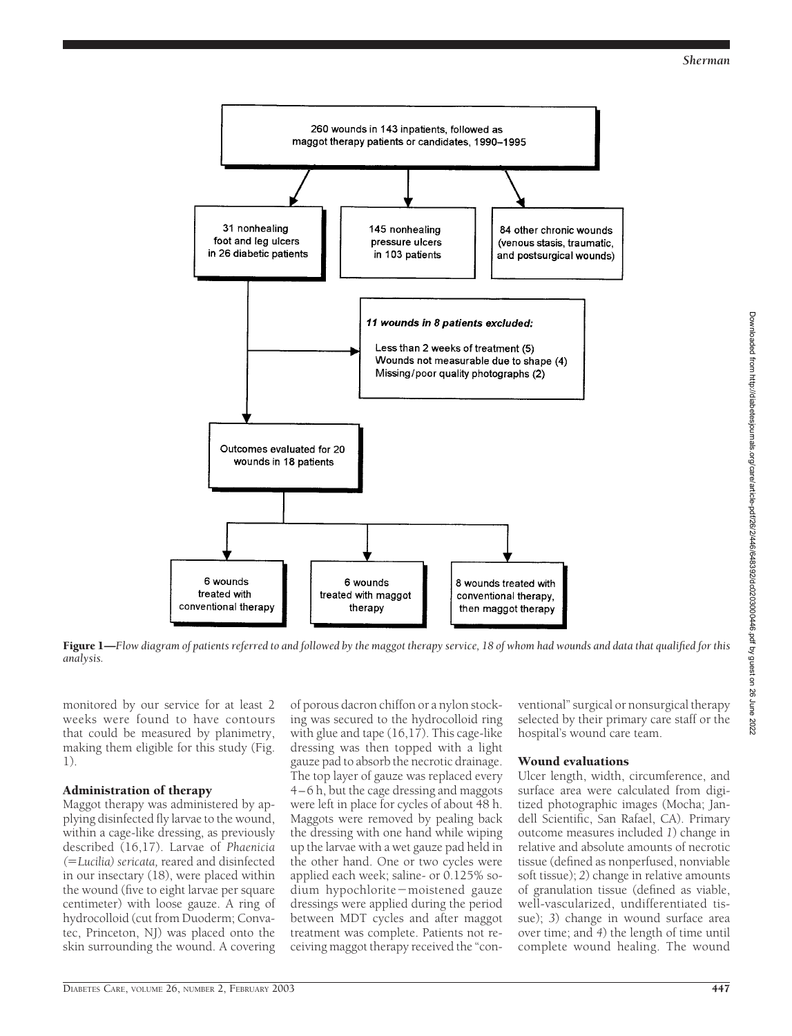

Figure 1—*Flow diagram of patients referred to and followed by the maggot therapy service, 18 of whom had wounds and data that qualified for this analysis.*

monitored by our service for at least 2 weeks were found to have contours that could be measured by planimetry, making them eligible for this study (Fig. 1).

## Administration of therapy

Maggot therapy was administered by applying disinfected fly larvae to the wound, within a cage-like dressing, as previously described (16,17). Larvae of *Phaenicia (Lucilia) sericata,* reared and disinfected in our insectary (18), were placed within the wound (five to eight larvae per square centimeter) with loose gauze. A ring of hydrocolloid (cut from Duoderm; Convatec, Princeton, NJ) was placed onto the skin surrounding the wound. A covering

of porous dacron chiffon or a nylon stocking was secured to the hydrocolloid ring with glue and tape (16,17). This cage-like dressing was then topped with a light gauze pad to absorb the necrotic drainage. The top layer of gauze was replaced every 4–6 h, but the cage dressing and maggots were left in place for cycles of about 48 h. Maggots were removed by pealing back the dressing with one hand while wiping up the larvae with a wet gauze pad held in the other hand. One or two cycles were applied each week; saline- or 0.125% sodium hypochlorite-moistened gauze dressings were applied during the period between MDT cycles and after maggot treatment was complete. Patients not receiving maggot therapy received the "con-

ventional" surgical or nonsurgical therapy selected by their primary care staff or the hospital's wound care team.

# Wound evaluations

Ulcer length, width, circumference, and surface area were calculated from digitized photographic images (Mocha; Jandell Scientific, San Rafael, CA). Primary outcome measures included *1*) change in relative and absolute amounts of necrotic tissue (defined as nonperfused, nonviable soft tissue); *2*) change in relative amounts of granulation tissue (defined as viable, well-vascularized, undifferentiated tissue); *3*) change in wound surface area over time; and *4*) the length of time until complete wound healing. The wound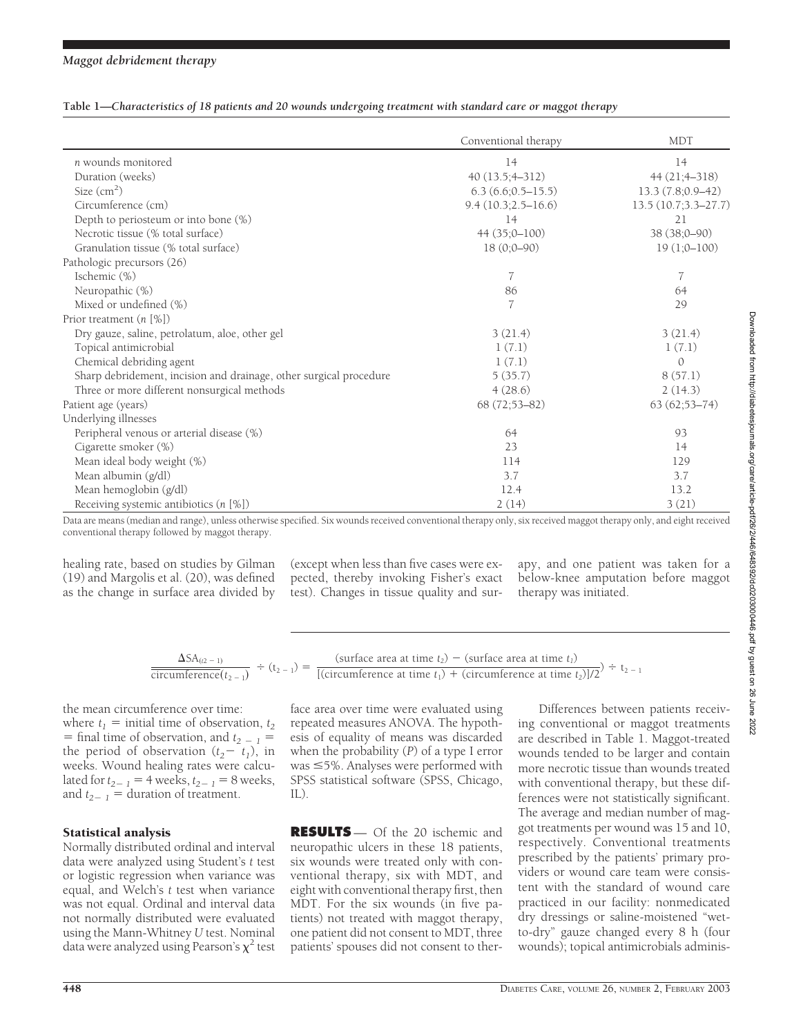## *Maggot debridement therapy*

| Table 1—Characteristics of 18 patients and 20 wounds undergoing treatment with standard care or maggot therapy |  |  |  |  |  |
|----------------------------------------------------------------------------------------------------------------|--|--|--|--|--|
|                                                                                                                |  |  |  |  |  |

|                                                                    | Conventional therapy | <b>MDT</b>           |
|--------------------------------------------------------------------|----------------------|----------------------|
| n wounds monitored                                                 | 14                   | 14                   |
| Duration (weeks)                                                   | 40 (13.5;4-312)      | $44(21;4-318)$       |
| Size $(cm2)$                                                       | $6.3(6.6; 0.5-15.5)$ | $13.3(7.8;0.9-42)$   |
| Circumference (cm)                                                 | $9.4(10.3;2.5-16.6)$ | 13.5 (10.7;3.3-27.7) |
| Depth to periosteum or into bone (%)                               | 14                   | 21                   |
| Necrotic tissue (% total surface)                                  | $44(35;0-100)$       | 38 (38;0-90)         |
| Granulation tissue (% total surface)                               | $18(0;0-90)$         | $19(1;0-100)$        |
| Pathologic precursors (26)                                         |                      |                      |
| Ischemic (%)                                                       | 7                    | 7                    |
| Neuropathic (%)                                                    | 86                   | 64                   |
| Mixed or undefined (%)                                             | $\overline{7}$       | 29                   |
| Prior treatment $(n \, [\%])$                                      |                      |                      |
| Dry gauze, saline, petrolatum, aloe, other gel                     | 3(21.4)              | 3(21.4)              |
| Topical antimicrobial                                              | 1(7.1)               | 1(7.1)               |
| Chemical debriding agent                                           | 1(7.1)               | $\mathcal{O}$        |
| Sharp debridement, incision and drainage, other surgical procedure | 5(35.7)              | 8(57.1)              |
| Three or more different nonsurgical methods                        | 4(28.6)              | 2(14.3)              |
| Patient age (years)                                                | 68 (72;53-82)        | 63 (62;53-74)        |
| Underlying illnesses                                               |                      |                      |
| Peripheral venous or arterial disease (%)                          | 64                   | 93                   |
| Cigarette smoker (%)                                               | 23                   | 14                   |
| Mean ideal body weight (%)                                         | 114                  | 129                  |
| Mean albumin (g/dl)                                                | 3.7                  | 3.7                  |
| Mean hemoglobin (g/dl)                                             | 12.4                 | 13.2                 |
| Receiving systemic antibiotics $(n \, [\%])$                       | 2(14)                | 3(21)                |

Data are means (median and range), unless otherwise specified. Six wounds received conventional therapy only, six received maggot therapy only, and eight received conventional therapy followed by maggot therapy.

healing rate, based on studies by Gilman (19) and Margolis et al. (20), was defined as the change in surface area divided by (except when less than five cases were expected, thereby invoking Fisher's exact test). Changes in tissue quality and sur-

apy, and one patient was taken for a below-knee amputation before maggot therapy was initiated.

$$
\frac{\Delta SA_{(t2-1)}}{\text{circumference}(t_{2-1})} \div (t_{2-1}) = \frac{\text{(surface area at time } t_2) - \text{(surface area at time } t_1)}{\text{[(circumference at time } t_1) + \text{(circumference at time } t_2)]/2}} \div t_{2-1}
$$

the mean circumference over time: where  $t_1$  = initial time of observation,  $t_2$ = final time of observation, and  $t_{2-1}$  = the period of observation  $(t_2 - t_1)$ , in weeks. Wound healing rates were calculated for  $t_{2-1} = 4$  weeks,  $t_{2-1} = 8$  weeks, and  $t_{2-1}$  = duration of treatment.

## Statistical analysis

Normally distributed ordinal and interval data were analyzed using Student's *t* test or logistic regression when variance was equal, and Welch's *t* test when variance was not equal. Ordinal and interval data not normally distributed were evaluated using the Mann-Whitney *U* test. Nominal data were analyzed using Pearson's  $\chi^2$  test

face area over time were evaluated using repeated measures ANOVA. The hypothesis of equality of means was discarded when the probability (*P*) of a type I error was 5%. Analyses were performed with SPSS statistical software (SPSS, Chicago, IL).

**RESULTS** — Of the 20 ischemic and neuropathic ulcers in these 18 patients, six wounds were treated only with conventional therapy, six with MDT, and eight with conventional therapy first, then MDT. For the six wounds (in five patients) not treated with maggot therapy, one patient did not consent to MDT, three patients' spouses did not consent to ther-

Differences between patients receiving conventional or maggot treatments are described in Table 1. Maggot-treated wounds tended to be larger and contain more necrotic tissue than wounds treated with conventional therapy, but these differences were not statistically significant. The average and median number of maggot treatments per wound was 15 and 10, respectively. Conventional treatments prescribed by the patients' primary providers or wound care team were consistent with the standard of wound care practiced in our facility: nonmedicated dry dressings or saline-moistened "wetto-dry" gauze changed every 8 h (four wounds); topical antimicrobials adminis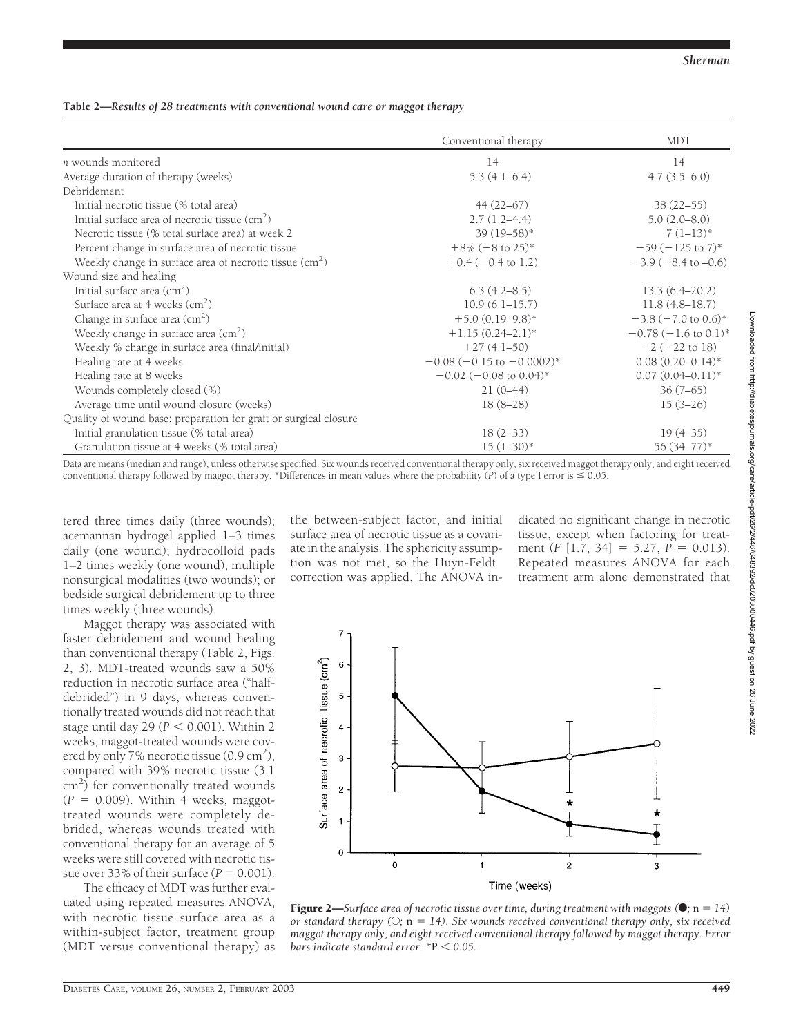**Table 2—***Results of 28 treatments with conventional wound care or maggot therapy*

|                                                                  | Conventional therapy                    | <b>MDT</b>                           |
|------------------------------------------------------------------|-----------------------------------------|--------------------------------------|
|                                                                  |                                         |                                      |
| n wounds monitored                                               | 14                                      | 14                                   |
| Average duration of therapy (weeks)                              | $5.3(4.1-6.4)$                          | $4.7(3.5-6.0)$                       |
| Debridement                                                      |                                         |                                      |
| Initial necrotic tissue (% total area)                           | $44(22-67)$                             | $38(22 - 55)$                        |
| Initial surface area of necrotic tissue $\text{cm}^2$ )          | $2.7(1.2-4.4)$                          | $5.0(2.0 - 8.0)$                     |
| Necrotic tissue (% total surface area) at week 2                 | $39(19-58)$ *                           | $7(1-13)^*$                          |
| Percent change in surface area of necrotic tissue                | $+8\%$ (-8 to 25)*                      | $-59(-125 \text{ to } 7)^*$          |
| Weekly change in surface area of necrotic tissue $\text{cm}^2$ ) | $+0.4 (-0.4 \text{ to } 1.2)$           | $-3.9$ ( $-8.4$ to $-0.6$ )          |
| Wound size and healing                                           |                                         |                                      |
| Initial surface area $\text{(cm}^2\text{)}$                      | $6.3(4.2 - 8.5)$                        | $13.3(6.4 - 20.2)$                   |
| Surface area at 4 weeks $\text{cm}^2$ )                          | $10.9(6.1 - 15.7)$                      | 11.8(4.8–18.7)                       |
| Change in surface area $\text{cm}^2$ )                           | $+5.0(0.19-9.8)$ *                      | $-3.8$ ( $-7.0$ to 0.6) <sup>*</sup> |
| Weekly change in surface area $\rm (cm^2)$                       | $+1.15(0.24-2.1)$ *                     | $-0.78$ (-1.6 to 0.1) <sup>*</sup>   |
| Weekly % change in surface area (final/initial)                  | $+27(4.1-50)$                           | $-2(-22$ to 18)                      |
| Healing rate at 4 weeks                                          | $-0.08$ (-0.15 to $-0.0002$ )*          | $0.08(0.20 - 0.14)$ *                |
| Healing rate at 8 weeks                                          | $-0.02$ ( $-0.08$ to 0.04) <sup>*</sup> | $0.07(0.04 - 0.11)^*$                |
| Wounds completely closed (%)                                     | $21(0-44)$                              | $36(7-65)$                           |
| Average time until wound closure (weeks)                         | $18(8-28)$                              | $15(3-26)$                           |
| Quality of wound base: preparation for graft or surgical closure |                                         |                                      |
| Initial granulation tissue (% total area)                        | $18(2-33)$                              | $19(4-35)$                           |
| Granulation tissue at 4 weeks (% total area)                     | $15(1-30)*$                             | 56 (34-77)*                          |

Data are means (median and range), unless otherwise specified. Six wounds received conventional therapy only, six received maggot therapy only, and eight received conventional therapy followed by maggot therapy. \*Differences in mean values where the probability  $(P)$  of a type I error is  $\leq 0.05$ .

tered three times daily (three wounds); acemannan hydrogel applied 1–3 times daily (one wound); hydrocolloid pads 1–2 times weekly (one wound); multiple nonsurgical modalities (two wounds); or bedside surgical debridement up to three times weekly (three wounds).

Maggot therapy was associated with faster debridement and wound healing than conventional therapy (Table 2, Figs. 2, 3). MDT-treated wounds saw a 50% reduction in necrotic surface area ("halfdebrided") in 9 days, whereas conventionally treated wounds did not reach that stage until day 29 ( $P < 0.001$ ). Within 2 weeks, maggot-treated wounds were covered by only 7% necrotic tissue  $(0.9 \text{ cm}^2)$ , compared with 39% necrotic tissue (3.1 cm<sup>2</sup>) for conventionally treated wounds  $(P = 0.009)$ . Within 4 weeks, maggottreated wounds were completely debrided, whereas wounds treated with conventional therapy for an average of 5 weeks were still covered with necrotic tissue over 33% of their surface  $(P = 0.001)$ .

The efficacy of MDT was further evaluated using repeated measures ANOVA, with necrotic tissue surface area as a within-subject factor, treatment group (MDT versus conventional therapy) as

the between-subject factor, and initial surface area of necrotic tissue as a covariate in the analysis. The sphericity assumption was not met, so the Huyn-Feldt correction was applied. The ANOVA indicated no significant change in necrotic tissue, except when factoring for treatment  $(F [1.7, 34] = 5.27, P = 0.013)$ . Repeated measures ANOVA for each treatment arm alone demonstrated that



**Figure 2—***Surface area of necrotic tissue over time, during treatment with maggots* ( $\bullet$ ; n = 14) *or standard therapy (* $O$ *; n = 14). Six wounds received conventional therapy only, six received maggot therapy only, and eight received conventional therapy followed by maggot therapy. Error bars indicate standard error.*  $*P < 0.05$ .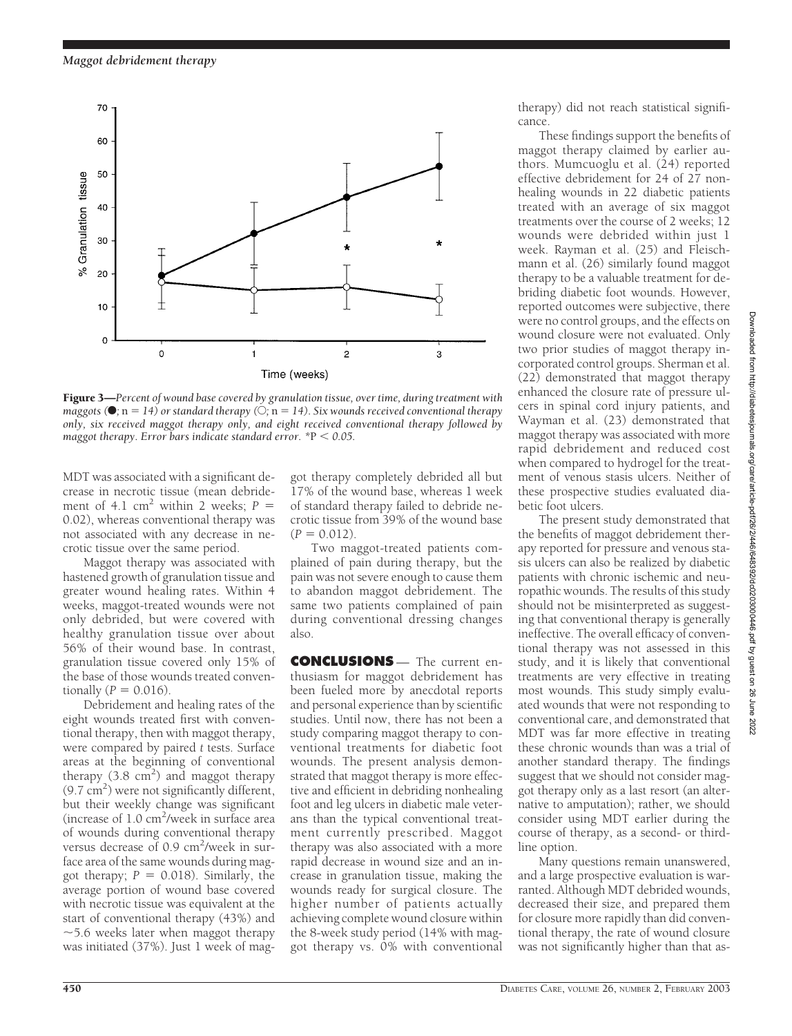

Figure 3—*Percent of wound base covered by granulation tissue, over time, during treatment with maggots* ( $\bullet$ ; n = 14) or standard therapy ( $\circ$ ; n = 14). Six wounds received conventional therapy *only, six received maggot therapy only, and eight received conventional therapy followed by maggot therapy. Error bars indicate standard error.*  $*P < 0.05$ .

MDT was associated with a significant decrease in necrotic tissue (mean debridement of 4.1 cm<sup>2</sup> within 2 weeks;  $P =$ 0.02), whereas conventional therapy was not associated with any decrease in necrotic tissue over the same period.

Maggot therapy was associated with hastened growth of granulation tissue and greater wound healing rates. Within 4 weeks, maggot-treated wounds were not only debrided, but were covered with healthy granulation tissue over about 56% of their wound base. In contrast, granulation tissue covered only 15% of the base of those wounds treated conventionally ( $P = 0.016$ ).

Debridement and healing rates of the eight wounds treated first with conventional therapy, then with maggot therapy, were compared by paired *t* tests. Surface areas at the beginning of conventional therapy  $(3.8 \text{ cm}^2)$  and maggot therapy  $(9.7 \text{ cm}^2)$  were not significantly different, but their weekly change was significant (increase of 1.0 cm2 /week in surface area of wounds during conventional therapy versus decrease of 0.9 cm<sup>2</sup>/week in surface area of the same wounds during maggot therapy;  $P = 0.018$ ). Similarly, the average portion of wound base covered with necrotic tissue was equivalent at the start of conventional therapy (43%) and  $\sim$  5.6 weeks later when maggot therapy was initiated (37%). Just 1 week of mag-

got therapy completely debrided all but 17% of the wound base, whereas 1 week of standard therapy failed to debride necrotic tissue from 39% of the wound base  $(P = 0.012)$ .

Two maggot-treated patients complained of pain during therapy, but the pain was not severe enough to cause them to abandon maggot debridement. The same two patients complained of pain during conventional dressing changes also.

**CONCLUSIONS** — The current enthusiasm for maggot debridement has been fueled more by anecdotal reports and personal experience than by scientific studies. Until now, there has not been a study comparing maggot therapy to conventional treatments for diabetic foot wounds. The present analysis demonstrated that maggot therapy is more effective and efficient in debriding nonhealing foot and leg ulcers in diabetic male veterans than the typical conventional treatment currently prescribed. Maggot therapy was also associated with a more rapid decrease in wound size and an increase in granulation tissue, making the wounds ready for surgical closure. The higher number of patients actually achieving complete wound closure within the 8-week study period (14% with maggot therapy vs. 0% with conventional

therapy) did not reach statistical significance.

These findings support the benefits of maggot therapy claimed by earlier authors. Mumcuoglu et al. (24) reported effective debridement for 24 of 27 nonhealing wounds in 22 diabetic patients treated with an average of six maggot treatments over the course of 2 weeks; 12 wounds were debrided within just 1 week. Rayman et al. (25) and Fleischmann et al. (26) similarly found maggot therapy to be a valuable treatment for debriding diabetic foot wounds. However, reported outcomes were subjective, there were no control groups, and the effects on wound closure were not evaluated. Only two prior studies of maggot therapy incorporated control groups. Sherman et al. (22) demonstrated that maggot therapy enhanced the closure rate of pressure ulcers in spinal cord injury patients, and Wayman et al. (23) demonstrated that maggot therapy was associated with more rapid debridement and reduced cost when compared to hydrogel for the treatment of venous stasis ulcers. Neither of these prospective studies evaluated diabetic foot ulcers.

The present study demonstrated that the benefits of maggot debridement therapy reported for pressure and venous stasis ulcers can also be realized by diabetic patients with chronic ischemic and neuropathic wounds. The results of this study should not be misinterpreted as suggesting that conventional therapy is generally ineffective. The overall efficacy of conventional therapy was not assessed in this study, and it is likely that conventional treatments are very effective in treating most wounds. This study simply evaluated wounds that were not responding to conventional care, and demonstrated that MDT was far more effective in treating these chronic wounds than was a trial of another standard therapy. The findings suggest that we should not consider maggot therapy only as a last resort (an alternative to amputation); rather, we should consider using MDT earlier during the course of therapy, as a second- or thirdline option.

Many questions remain unanswered, and a large prospective evaluation is warranted. Although MDT debrided wounds, decreased their size, and prepared them for closure more rapidly than did conventional therapy, the rate of wound closure was not significantly higher than that as